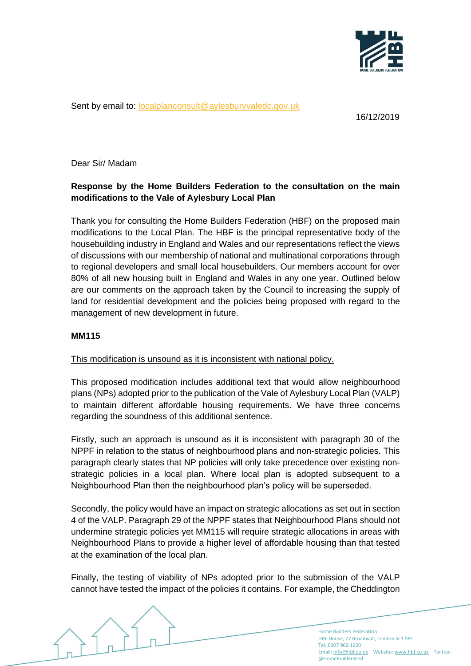

Sent by email to: [localplanconsult@aylesburyvaledc.gov.uk](mailto:localplanconsult@aylesburyvaledc.gov.uk)

16/12/2019

Dear Sir/ Madam

## **Response by the Home Builders Federation to the consultation on the main modifications to the Vale of Aylesbury Local Plan**

Thank you for consulting the Home Builders Federation (HBF) on the proposed main modifications to the Local Plan. The HBF is the principal representative body of the housebuilding industry in England and Wales and our representations reflect the views of discussions with our membership of national and multinational corporations through to regional developers and small local housebuilders. Our members account for over 80% of all new housing built in England and Wales in any one year. Outlined below are our comments on the approach taken by the Council to increasing the supply of land for residential development and the policies being proposed with regard to the management of new development in future.

## **MM115**

## This modification is unsound as it is inconsistent with national policy.

This proposed modification includes additional text that would allow neighbourhood plans (NPs) adopted prior to the publication of the Vale of Aylesbury Local Plan (VALP) to maintain different affordable housing requirements. We have three concerns regarding the soundness of this additional sentence.

Firstly, such an approach is unsound as it is inconsistent with paragraph 30 of the NPPF in relation to the status of neighbourhood plans and non-strategic policies. This paragraph clearly states that NP policies will only take precedence over existing nonstrategic policies in a local plan. Where local plan is adopted subsequent to a Neighbourhood Plan then the neighbourhood plan's policy will be superseded.

Secondly, the policy would have an impact on strategic allocations as set out in section 4 of the VALP. Paragraph 29 of the NPPF states that Neighbourhood Plans should not undermine strategic policies yet MM115 will require strategic allocations in areas with Neighbourhood Plans to provide a higher level of affordable housing than that tested at the examination of the local plan.

Finally, the testing of viability of NPs adopted prior to the submission of the VALP cannot have tested the impact of the policies it contains. For example, the Cheddington

> Home Builders Federation HBF House, 27 Broadwall, London SE1 9PL Tel: 0207 960 1600 Email[: info@hbf.co.uk](mailto:info@hbf.co.uk) Website[: www.hbf.co.uk](http://www.hbf.co.uk/) Twitter: @HomeBuildersFed